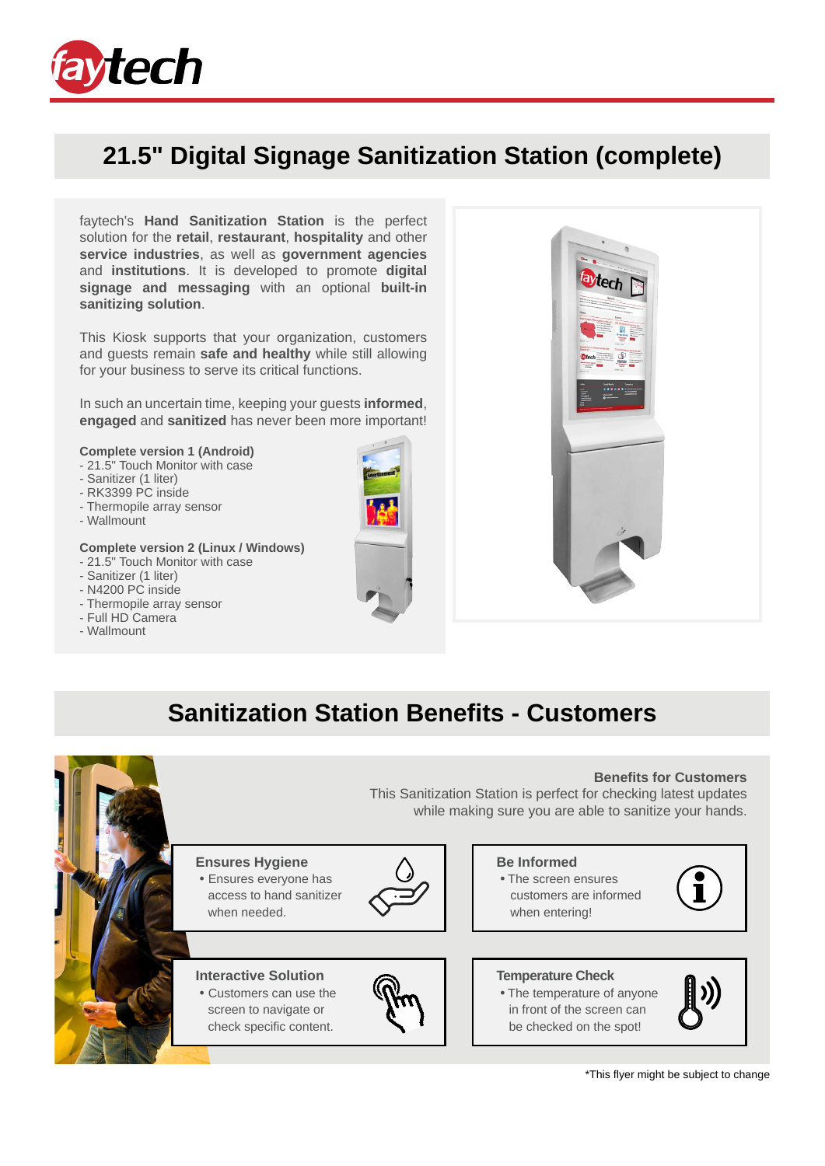

## **21.5" Digital Signage Sanitization Station (complete)**

faytech's **Hand Sanitization Station** is the perfect solution for the **retail**, **restaurant**, **hospitality** and other **service industries**, as well as **government agencies** and **institutions**. It is developed to promote **digital signage and messaging** with an optional **built-in sanitizing solution**.

This Kiosk supports that your organization, customers and guests remain **safe and healthy** while still allowing for your business to serve its critical functions.

In such an uncertain time, keeping your guests **informed**, **engaged** and **sanitized** has never been more important!

#### **Complete version 1 (Android)**

- 21.5" Touch Monitor with case
- Sanitizer (1 liter)
- RK3399 PC inside
- Thermopile array sensor
- Wallmount

#### **Complete version 2 (Linux / Windows)**

- 21.5" Touch Monitor with case
- Sanitizer (1 liter)
- N4200 PC inside
- Thermopile array sensor
- Full HD Camera
- Wallmount





## **Sanitization Station Benefits - Customers**

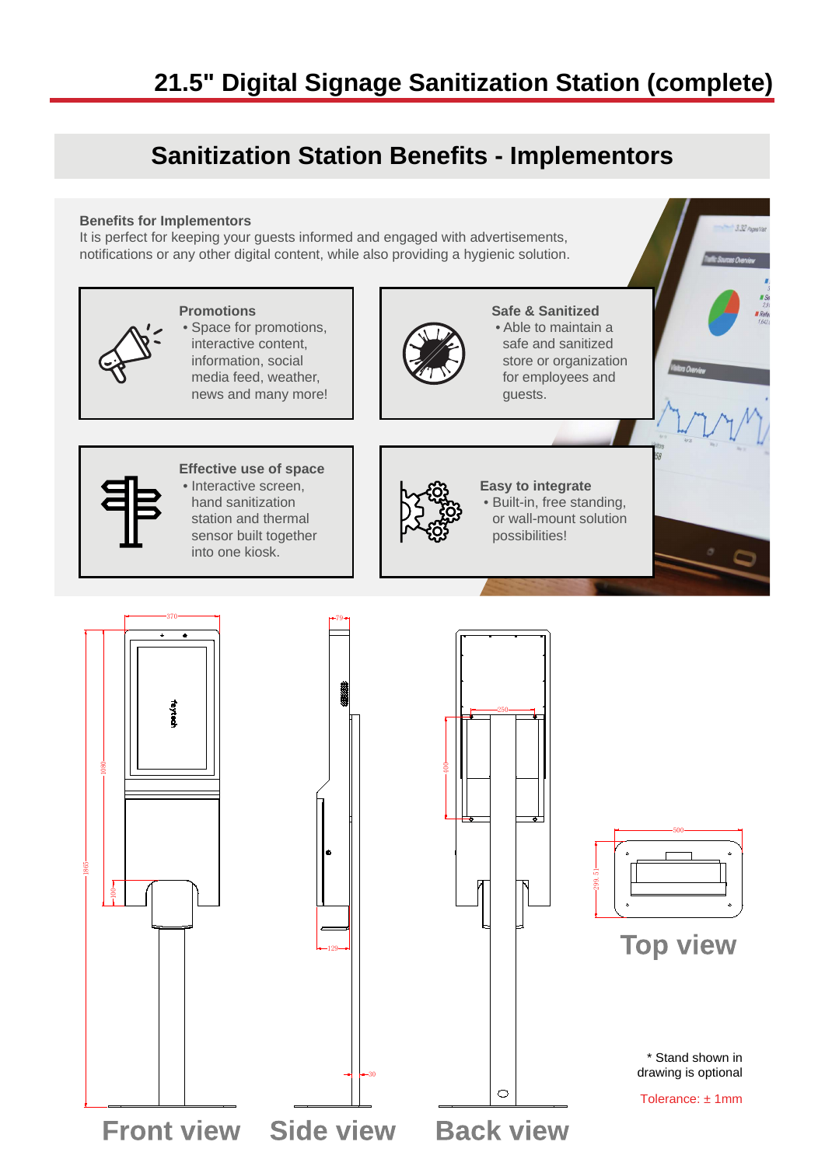## **21.5" Digital Signage Sanitization Station (complete)**

## **Sanitization Station Benefits - Implementors**

#### **Benefits for Implementors**

It is perfect for keeping your guests informed and engaged with advertisements, notifications or any other digital content, while also providing a hygienic solution.

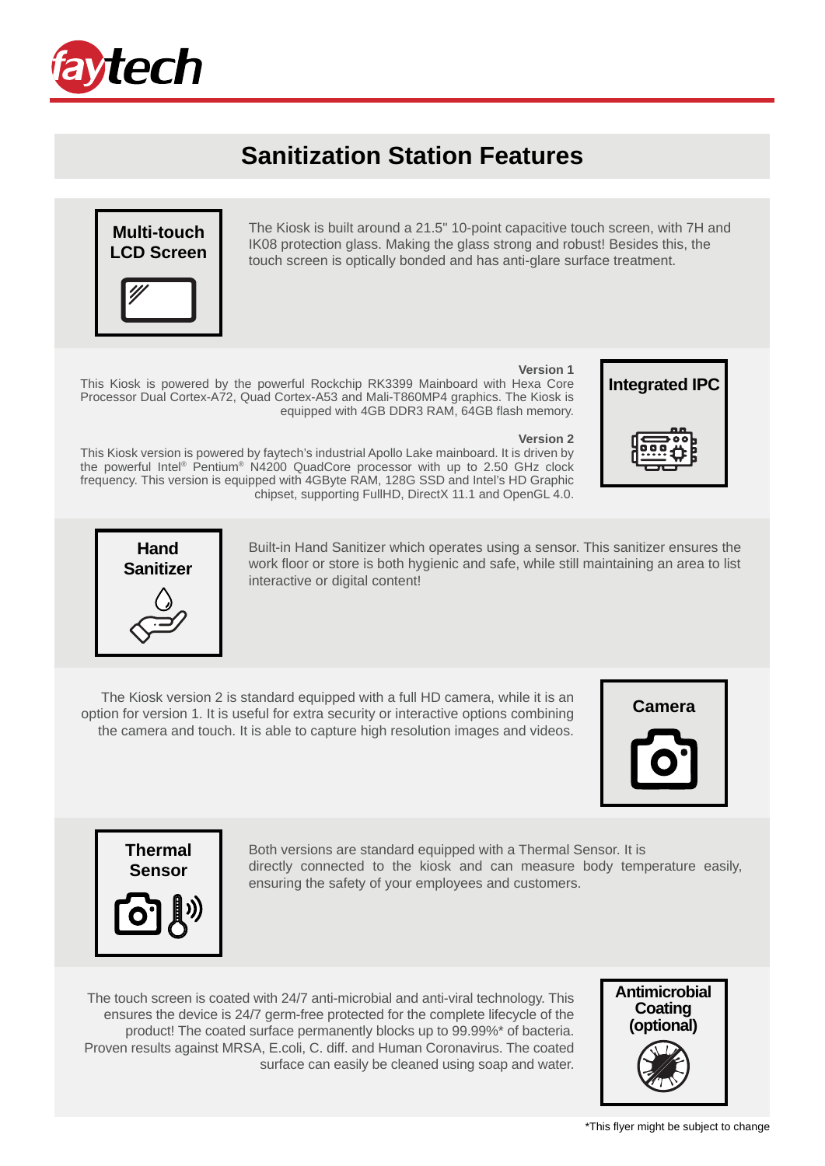

## **Sanitization Station Features**



The Kiosk is built around a 21.5" 10-point capacitive touch screen, with 7H and IK08 protection glass. Making the glass strong and robust! Besides this, the touch screen is optically bonded and has anti-glare surface treatment.



This Kiosk is powered by the powerful Rockchip RK3399 Mainboard with Hexa Core Processor Dual Cortex-A72, Quad Cortex-A53 and Mali-T860MP4 graphics. The Kiosk is equipped with 4GB DDR3 RAM, 64GB flash memory.

#### **Version 2**

This Kiosk version is powered by faytech's industrial Apollo Lake mainboard. It is driven by the powerful Intel® Pentium® N4200 QuadCore processor with up to 2.50 GHz clock frequency. This version is equipped with 4GByte RAM, 128G SSD and Intel's HD Graphic chipset, supporting FullHD, DirectX 11.1 and OpenGL 4.0.





Built-in Hand Sanitizer which operates using a sensor. This sanitizer ensures the work floor or store is both hygienic and safe, while still maintaining an area to list interactive or digital content!

The Kiosk version 2 is standard equipped with a full HD camera, while it is an option for version 1. It is useful for extra security or interactive options combining the camera and touch. It is able to capture high resolution images and videos.





Both versions are standard equipped with a Thermal Sensor. It is directly connected to the kiosk and can measure body temperature easily, ensuring the safety of your employees and customers.

The touch screen is coated with 24/7 anti-microbial and anti-viral technology. This ensures the device is 24/7 germ-free protected for the complete lifecycle of the product! The coated surface permanently blocks up to 99.99%\* of bacteria. Proven results against MRSA, E.coli, C. diff. and Human Coronavirus. The coated surface can easily be cleaned using soap and water.

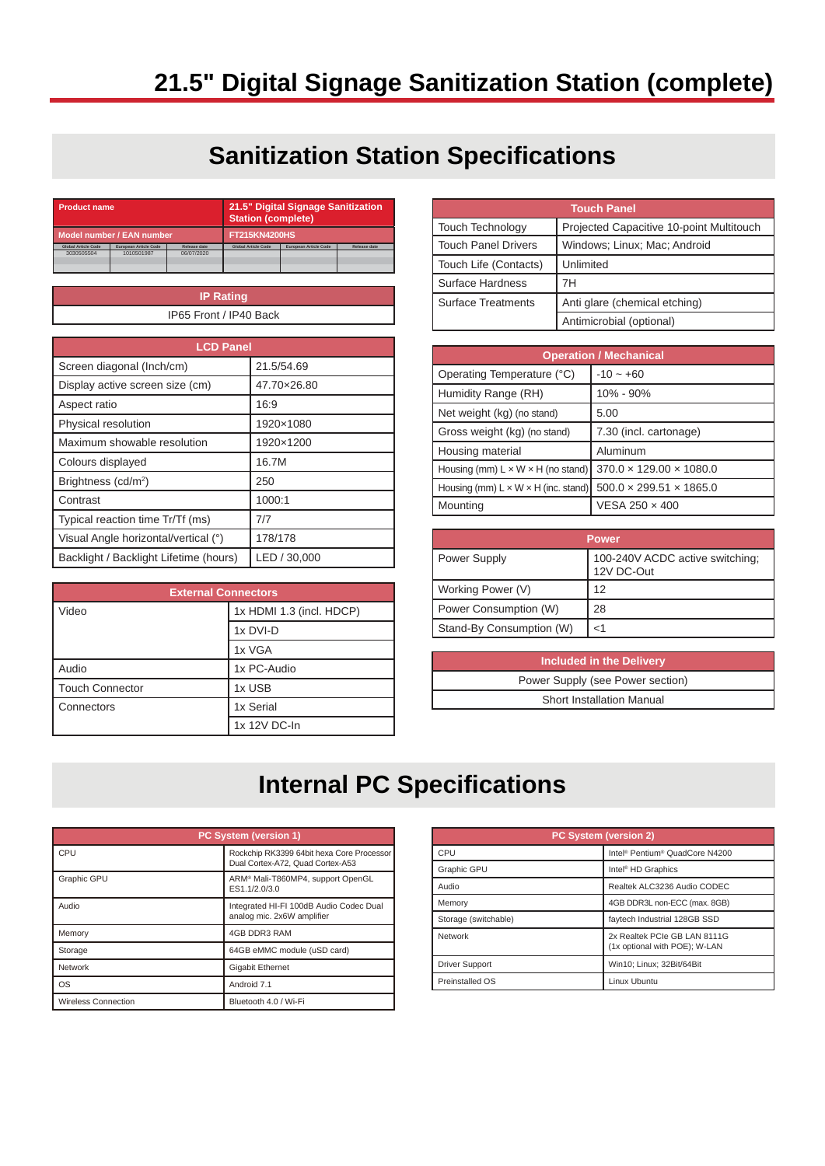# **21.5" Digital Signage Sanitization Station (complete)**

## **Sanitization Station Specifications**

| <b>Product name</b>       |                       | <b>Station (complete)</b> | 21.5" Digital Signage Sanitization |                              |                     |
|---------------------------|-----------------------|---------------------------|------------------------------------|------------------------------|---------------------|
| Model number / EAN number |                       | <b>FT215KN4200HS</b>      |                                    |                              |                     |
| Global Article Code       | European Article Code | <b>Release date</b>       | <b>Global Article Code</b>         | <b>European Article Code</b> | <b>Release date</b> |
| 3030505504                | 1010501987            | 06/07/2020                |                                    |                              |                     |
|                           |                       |                           |                                    |                              |                     |
|                           |                       |                           |                                    |                              |                     |
|                           |                       |                           |                                    |                              |                     |

| <b>IP Rating</b>       |  |
|------------------------|--|
| IP65 Front / IP40 Back |  |
|                        |  |

| <b>LCD Panel</b>                       |              |  |
|----------------------------------------|--------------|--|
| Screen diagonal (Inch/cm)              | 21.5/54.69   |  |
| Display active screen size (cm)        | 47.70×26.80  |  |
| Aspect ratio                           | 16:9         |  |
| Physical resolution                    | 1920×1080    |  |
| Maximum showable resolution            | 1920×1200    |  |
| Colours displayed                      | 16.7M        |  |
| Brightness (cd/m <sup>2</sup> )        | 250          |  |
| Contrast                               | 1000:1       |  |
| Typical reaction time Tr/Tf (ms)       | 717          |  |
| Visual Angle horizontal/vertical (°)   | 178/178      |  |
| Backlight / Backlight Lifetime (hours) | LED / 30,000 |  |

| <b>External Connectors</b> |                          |  |
|----------------------------|--------------------------|--|
| Video                      | 1x HDMI 1.3 (incl. HDCP) |  |
|                            | 1x DVI-D                 |  |
|                            | 1x VGA                   |  |
| Audio                      | 1x PC-Audio              |  |
| <b>Touch Connector</b>     | 1x USB                   |  |
| l Connectors               | 1x Serial                |  |
|                            | 1x 12V DC-In             |  |

| <b>Touch Panel</b>         |                                          |  |
|----------------------------|------------------------------------------|--|
| Touch Technology           | Projected Capacitive 10-point Multitouch |  |
| <b>Touch Panel Drivers</b> | Windows; Linux; Mac; Android             |  |
| Touch Life (Contacts)      | Unlimited                                |  |
| Surface Hardness           | 7H                                       |  |
| <b>Surface Treatments</b>  | Anti glare (chemical etching)            |  |
|                            | Antimicrobial (optional)                 |  |

| <b>Operation / Mechanical</b>                   |                                     |  |
|-------------------------------------------------|-------------------------------------|--|
| Operating Temperature (°C)                      | $-10 - +60$                         |  |
| Humidity Range (RH)                             | 10% - 90%                           |  |
| Net weight (kg) (no stand)                      | 5.00                                |  |
| Gross weight (kg) (no stand)                    | 7.30 (incl. cartonage)              |  |
| Housing material                                | Aluminum                            |  |
| Housing (mm) $L \times W \times H$ (no stand)   | $370.0 \times 129.00 \times 1080.0$ |  |
| Housing (mm) $L \times W \times H$ (inc. stand) | $500.0 \times 299.51 \times 1865.0$ |  |
| Mounting                                        | VESA 250 × 400                      |  |

| <b>Power</b>             |                                               |
|--------------------------|-----------------------------------------------|
| Power Supply             | 100-240V ACDC active switching;<br>12V DC-Out |
| Working Power (V)        | 12                                            |
| Power Consumption (W)    | 28                                            |
| Stand-By Consumption (W) | <1                                            |

| <b>Included in the Delivery</b>  |  |  |
|----------------------------------|--|--|
| Power Supply (see Power section) |  |  |
| Short Installation Manual        |  |  |
|                                  |  |  |

## **Internal PC Specifications**

| PC System (version 1)      |                                                                               |
|----------------------------|-------------------------------------------------------------------------------|
| CPU                        | Rockchip RK3399 64bit hexa Core Processor<br>Dual Cortex-A72, Ouad Cortex-A53 |
| <b>Graphic GPU</b>         | ARM® Mali-T860MP4, support OpenGL<br>ES1.1/2.0/3.0                            |
| Audio                      | Integrated HI-FI 100dB Audio Codec Dual<br>analog mic. 2x6W amplifier         |
| Memory                     | 4GB DDR3 RAM                                                                  |
| Storage                    | 64GB eMMC module (uSD card)                                                   |
| Network                    | <b>Gigabit Ethernet</b>                                                       |
| OS                         | Android 7.1                                                                   |
| <b>Wireless Connection</b> | Bluetooth 4.0 / Wi-Fi                                                         |

| <b>PC System (version 2)</b> |                                                               |  |
|------------------------------|---------------------------------------------------------------|--|
| CPU                          | Intel <sup>®</sup> Pentium <sup>®</sup> QuadCore N4200        |  |
| Graphic GPU                  | Intel <sup>®</sup> HD Graphics                                |  |
| Audio                        | Realtek ALC3236 Audio CODEC                                   |  |
| Memory                       | 4GB DDR3L non-ECC (max. 8GB)                                  |  |
| Storage (switchable)         | faytech Industrial 128GB SSD                                  |  |
| Network                      | 2x Realtek PCIe GB LAN 8111G<br>(1x optional with POE); W-LAN |  |
| <b>Driver Support</b>        | Win10; Linux; 32Bit/64Bit                                     |  |
| Preinstalled OS              | Linux Ubuntu                                                  |  |